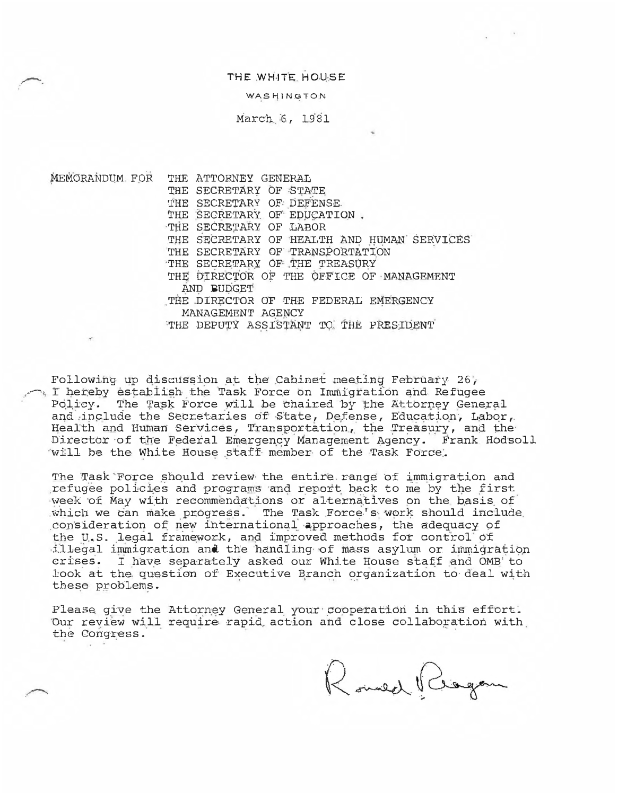THE WHITE HOUSE

WASHINGTON

March 6, 1981

MEMORANDUM FOR THE ATTORNEY GENERAL THE SECRETARY OF STATE THE SECRETARY OF DEFENSE. THE SECRETARY OF EDUCATION. THE SECRETARY OF LABOR THE SECRETARY OF HEALTH AND HUMAN SERVICES THE SECRETARY OF TRANSPORTATION THE SECRETARY OF THE TREASURY THE DIRECTOR OF THE OFFICE OF MANAGEMENT AND BUDGET **THE** DIRECTOR OF THE FEDERAL EMERGENCY MANAGEMENT AGENCY THE DEPUTY ASSISTANT TO THE PRESIDENT

Following up discussion at the Cabinet meeting February 26,  $\sim$  I hereby establish the Task Force on Immigration and Refugee Policy. The Task Force will be chaired by the Attorney General and include the Secretaries of State, Defense, Education, Labor, Health and Human Services, Transportation, the Treasury, and the Director of the Federal Emergency Management Agency. Frank Hodsoll will be the White House staff member of the Task Force.

The Task Force should review the entire range of immigration and refugee policies and programs and report back to me by the first week of May with recommendations or alternatives on the basis of which we can make progress. The Task Force's work should include consideration of new international approaches, the adequacy of the U.S. legal framework, and improved methods for control of illegal immigration and the handling of mass asylum or immigration crises. I have separately asked our White House staff and 0MB to look at the question of Executive Branch organization to deal with tbese problems.

Please give the Attorney General your cooperation in this effort. Our review will require rapid action and close collaboration with the Congress.

Romed Riogan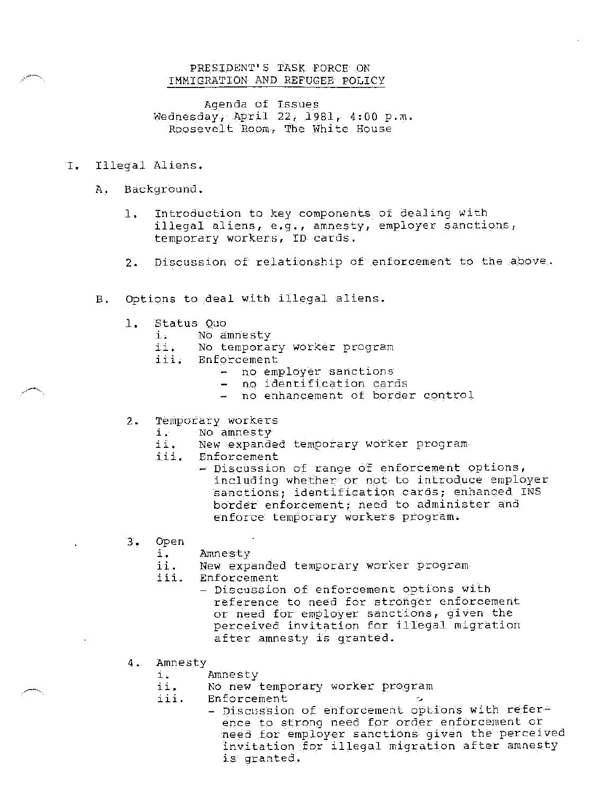# PRESIDENT'S TASK FORCE ON IMMIGRATION AND REFUGEE POLICY

Agenda of Issues Wednesday, April 22, 1981, 4:00 p.m. Roosevelt Room, The White House

- I. Illegal Aliens.
	- A. Background.
		- 1. Introduction to key components of dealing with illegal aliens, e.g., amnesty, employer sanctions, temporary workers, ID cards.
		- 2. Discussion of relationship of enforcement to the above.
	- B. Options to deal with illegal aliens.
		- 1. Status Quo
			- i. No amnesty
			- No temporary worker program
			- iii. Enforcement
				- no employer sanctions
				- no identification cards
				- no enhancement of border control
		- 2. Temporary workers
			-
			- *i.* No amnesty New expanded temporary worker program
			- iii. Enforcement
				- $-$  Discussion of range of enforcement options, including whether or not to introduce employer sanctions; identification cards; enhanced INS border enforcement; need to administer and enforce temporary workers program.
		- 3. Open
			- i. Amnesty
			- ii. New expanded temporary worker program
			- iii. Enforcement
				- Discussion of enforcement options with reference to need for stronger enforcement or need for employer sane tions, given the perceived invitation for illegal migration after amnesty is granted.
		- 4. Amnesty
			- i. Amnesty<br>ii. No new
			- ii. Amnesty<br>ii. No new temporary worker program iii. Enforcement ·:..
			-
- Enforcement<br>- Discussion of enforcement options with reference to strong need for order enforcement or need for employer sanctions given the perceived invitation for illegal migration after amnesty is granted.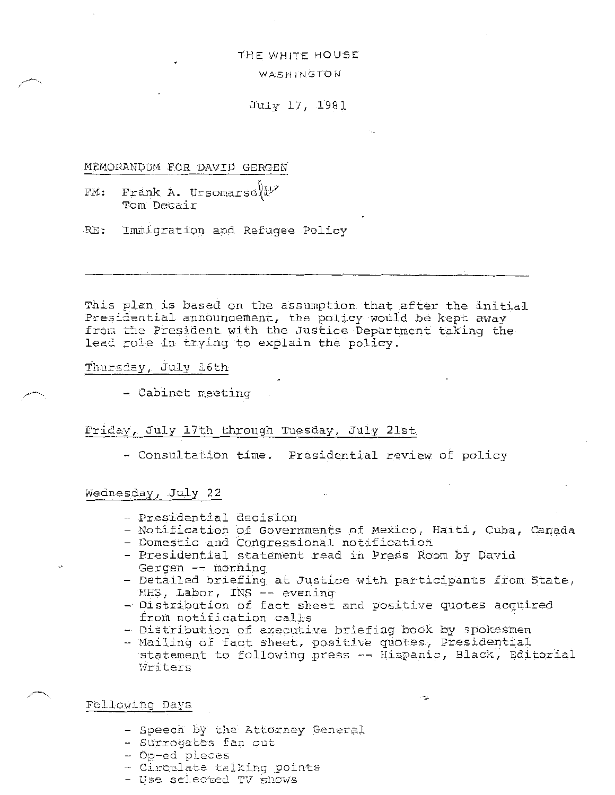### THE WHITE HOUSE

## WASHINGTON

## July 17, 1981

## .MEMORANDUM FOR DAVID GERGEN

- FM: Frank A. Ursomarso $%$ Tom Decair
- RE: Immigration and Refugee Policy

This plan is based on the assumption that after the initial Presidential announcement, the policy would be kept away from the President with the Justice Department taking the lead role in trying to explain the policy.

## Thursday, July 16th

- Cabinet Reeting

## FriCcy, July 17th through Tuesday, July 21st

- Consultation time. Presidential review of policy

# Wednesday, July 22

- Presidential decision
- Notification of Governments of Mexico, Haiti, Cuba, Canada
- Domestic and Congressional notification
- Presidential statement read in Press Room by David Gergen -- morning
- Detailed briefing at Justice with participants from State, HHS, Labor, INS -- evening
- Distribution of fact sheet and positive quotes acquired from notification calls
- Distribution of executive briefing book by spokesmen
- Mailing of fact sheet, positive quotes, Presidential statement to following press -- Hispanic, Black, Editorial Writers

# Following De.ys

- Speech by the Attorney General
- Surrogates fan out
- Op-ed pieces
- Circulate talking points
- Use selected TV shows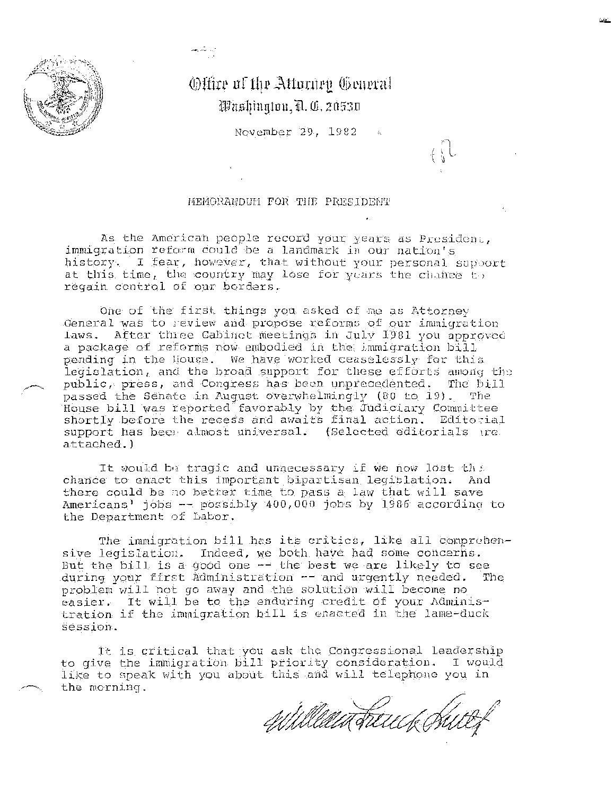

# Offire of the Attorney General Washinaton, D. C. 20530

ارد شاهد<br>و

November 29, 1982

## MEMGRANDUM FOR THE PRESIDENT

As the American people record your years as President, immigration reform could be a landmark in our nation's history. I fear, however, that without your personal support at this time, the country may lose for years the chance  $t_{\cdot}$ . regain control of our borders.

One of the first things you asked of me as Attorney General was to review and propose reforms of our immigration laws. After three Cabinet meetings in July 1981 you approved a package of reforms now embodied in the immigration bill pending in the House. We have worked ceaselessly for this legislation, and the broad support for these efforts among the public, press, and Congress has been unprecedented. The bil1 passed the Senate in August overwhelmingly (80 to 19). The House bill was reported favorably by the Judiciary Committee shortly before the recess and awaits final action. Editorial support has been almost universal. (Selected editorials tre attached.)

It would be tragic and unnecessary if we now lost the chance to enact this important bipartisan legislation. And there could be no better time to pass a law that will save Americans' jobs -- possibly 400,000 jobs by 1986 according to the Department of Labor.

The immigration bill has its critics, like all comprehensive legislation. Indeed, we both have had some concerns. But the bill is a good one  $-$  the best we are likely to see<br>during your first Administration  $-$  and urgently needed. The during your first Administration -- and urgently needed. problem will not go away and the solution will become n0 easier. It will be to the enduring credit of your Administration if the immigration bill is enacted in the lame-duck session.

It is critical that you ask the Congressional leadership to give the immigration bill priority consideration. I would like to speak with you about this and will telephone you in the morning.

William Freuck Phil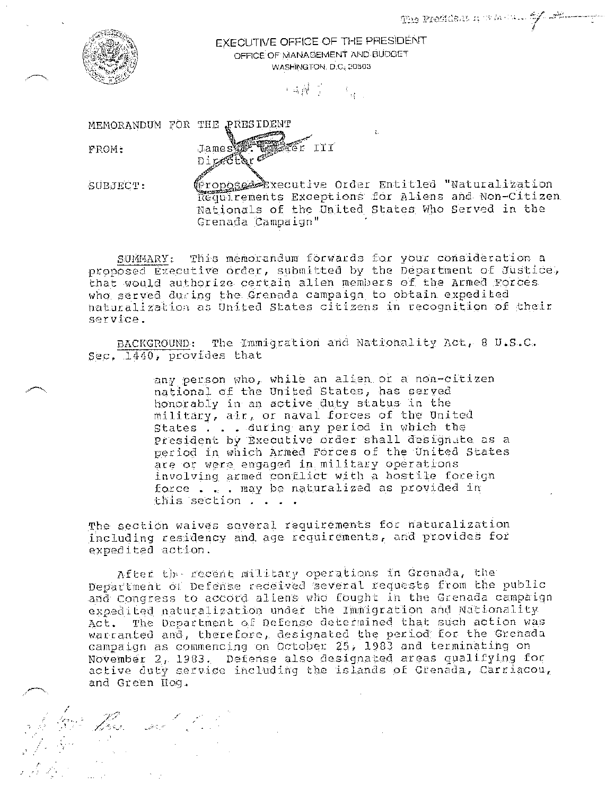

EXECUTIVE OFFICE OF THE PRESIDENT OFFICE OF MANAGEMENT AND BUDGET WASHINGTON, D.C. 20503

 $\label{eq:expansion} \mathcal{C} \triangleq \left(\mathbf{\hat{N}}^T \cdot \mathbf{\hat{J}}^T \right) \qquad \mathcal{C}_{\mathbf{\hat{M}}^T \times \mathbf{\hat{J}}}$ 

MEMORANDUM FOR THE PRESIDENT

FROM:

;

a de 1991.<br>De la fa

The State of the State of the State of the State of the State of the State of the State of the State of the State of the State of the State of the State of the State of the State of the State of the State of the State of t

James **1. 1. 1.**<br>Di*pa*Ctor

 $SUBJECT$ :

Proposed Executive Order Entitled "Naturalization Requirements Exceptions for Aliens and Non-Citizen Nationals of the United States Who served in the Grenada Campaign''

SUMMARY: This memorandum forwards for your consideration a proposed Executive order, submitted by the Department oE Justice, that would authorize certain alien members of the Armed Forces who served during the Grenada campaign to obtain expedited naturalization as United States citizens in recognition of their service.

BACKGROUND: The Immigration and Nationality Act, 8 U.S.C. Sec. 1440, provides that

> any person who, while an alien or a non-citizen national of the United States, bas served honorably in an active duty status in the military, air, or naval forces of the Unitea states . . during any period in which the President by Executive order shall designate as a period in which Armed Forces of: the United States are or were engaged in military operations involving armed conflict with a hostile foreign force . . may be naturalized as provided in this section . . . .

The section waives several requirements foe naturalization including residency and age requirements, and provides for expedited action.

After the recent military operations in Grenada, the Department of Defense received several requests from the public and Congress to accord aliens who fought in the Grenada campaign expedited naturalization under the Immigration and Nationality Act. The Department of Defense determined that such action was warranted and, therefore, designated the period for the Grenada campaign as commencing on October 25, 1983 and terminating on November 2, 1903. Defense also designated areas qualifying for active duty service including the islands of Grenada, Carriacou, ana Green Hog.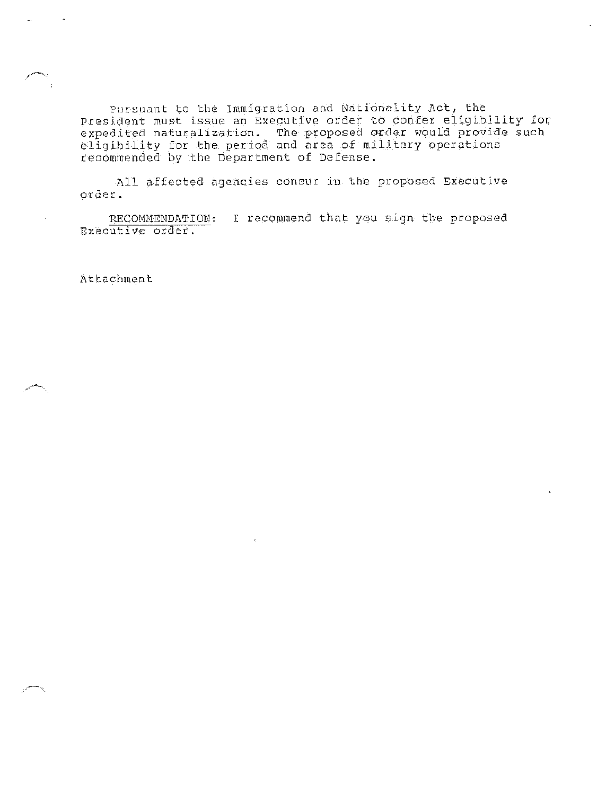Pursuant to the Immigration nnd Nationality Act, the President must issue an Executive order to confer eligibllity for expedited naturalization. The proposed orJer would provide such eligibility for the period and area of military operations recommended by the Department of Defense.

All affected agencies concur in the proposed Executive order.

RECOMMENDATION: I recommend that you sign the proposed Executive order.

At tachmen t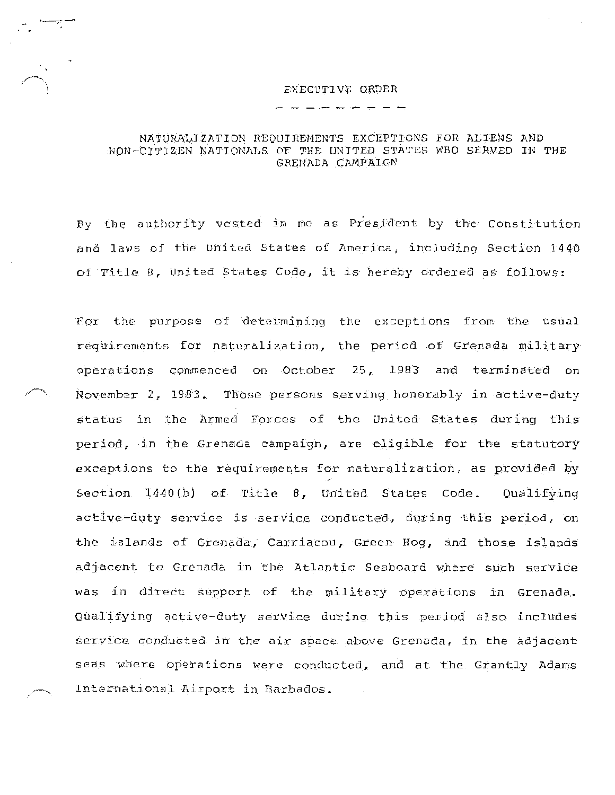## EXECUTIVE ORDER

•----;---'

# NATURALIZATION REQUIREMENTS EXCEPTIONS FOR ALIENS AND NON-CITIZEN NATIONALS OF THE UNITED STATES WHO SERVED IN THE GRENADA CAMPAIGN

By the authority vested in me as President by the Constitution and laws of the United States of America, including Section 1440 of Title 8, United States Code, it is hereby ordered as follows:

For the purpose of determining the exceptions from the usual requirements for naturalization, the period of Grenada military operations commenced on October 25, 1983 and terminated on November *<sup>2</sup> <sup>1</sup>*1903. Those persons serving honorably in active-duty status in the Armed Forces of the United States during this period, in the Grenada campaign, are eligible for the statutory exceptions to the requirements for naturalization, as provided by Section 1440{b) of Title 8, United States Code. Qualifying active-duty service is service conducted, during this period, on the islands of Grenada, Carriacou, Green Hog, and those islands adjacent to Grenada in the Atlantic Seaboard where such service was in direct support of the military operations in Grenada. Qualifying active~duty service during this period a]so includes service conducted in the air space above Grenada, in the adjacent seas where operations were conducted, and at the Grantly Adams International Airport in Barbados.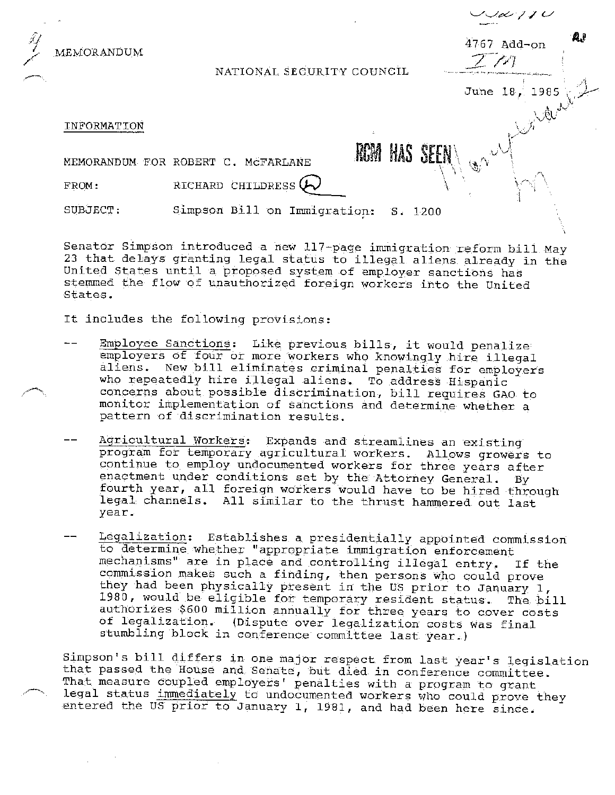

Senator Simpson introduced a new 117-page immigration reform bill May 23 that delays granting legal status to illegal aliens already in the United States until a proposed system of employer sanctions has stemmed the flow of unauthorized foreign workers into the United States.

It includes the following provisions:

- Employee Sanctions: Like previous bills, it would penalize employers of four or more workers who knowingly hire illegal aliens. New bill eliminates criminal penalties for employers who repeatedly hire illegal aliens. To address Hispanic concerns about possible discrimination, bill requires GAO to monitor implementation of sanctions and determine whether a pattern of discrimination results.
- Agricultural Workers: Expands and streamlines an existing program for temporary agricultural workers. Allows growers to continue to employ undocumented workers for three years after enactment under conditions set by the Attorney General. By fourth year, all foreign workers would have to be hired through legal channels. All similar to the thrust hammered out last year.
- Legalization: Establishes a presidentially appointed commission to determine whether "appropriate immigration enforcement mechanisms" are in place and controlling illegal entry. If the commission makes such a finding, then persons who could prove they had been physically present in the US prior to January 1, 1980, would be eligible for temporary resident status. The bill authorizes \$600 million annually for three years to cover costs of legalization. (Dispute over legalization costs was final stumbling block in conference committee last year.)

Simpson's bill differs in one major respect from last year's legislation that passed the House and Senate, but died in conference committee. That measure coupled employers' penalties with a program to grant legal status immediately to undocumented workers who could prove they entered the US prior to January 1, 1981, and had been here since.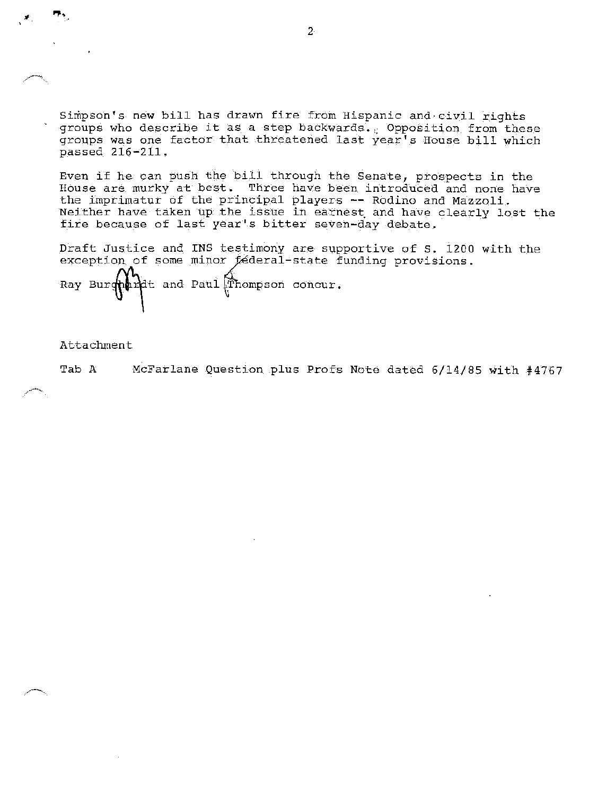Simpson's new bill has drawn fire from Hispanic and civil rights groups who describe it as a step backwards. Opposition from these groups was one factor that threatened last year's House bill which passed 216-211.

Even if he can push the bill through the Senate, prospects in the House are murky at best. Three have been introduced and none have the imprimatur of the principal players -- Rodino and Mazzoli. Neither have taken up the issue in earnest. and have clearly lost the fire because of last year's bitter seven-day debate.

Draft Justice and INS testimony are supportive of S. 1200 with the exception of some minor féderal-state funding provisions.

Ray Bur $\phi$  and Paul  $\mathbb F$  hompson concur.

Attachment

.<br>7.,

Tab A McFarlane Question plus Profs Note dated 6/14/85 with #4767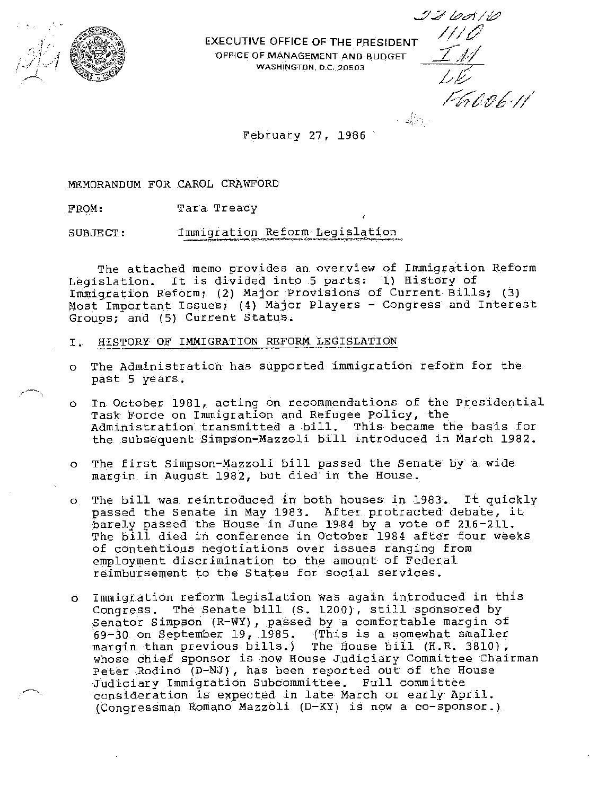

**EXECUTIVE OFFICE OF THE PRESIDENT** OFFICE OF MANAGEMENT AND BUDGET WASHINGTON, D.C. 20503

*£it /'j; P* v£·//.

*\_\_:;;.:7* hcf/£?

February 27, 1986

MEMORANDUM FOR CAROL CRAWFORD

FROM, Tara Treacy

SUBJECT, Immigration Reform Legislation

The attached memo provides an overview of Immigration Reform Legislation. It is divided into 5 parts: 1) History of Immigration Reform; (2) Major Provisions of Current Bills; (3) Most Important Issues; (4) Major Players - Congress and Interest Groups; and (5) Current Status.

- I. HISTORY OF IMMIGRATION REFORM LEGISLATION
- o The Administration has supported immigration reform for the past 5 years.
- o In October 1981, acting on recommendations of the Presidential Task Force on Immigration and Refugee Policy, the Administration transmitted a bill. This became the basis for the subsequent Simpson-Mazzoli bill introduced in March 1982.
- o The first Simpson-Mazzoli bill passed the Senate by a wide margin in August 1982, but died in the House.
- o The bill was reintroduced in both houses in 1983. It quickly passed the Senate in May 1983. After protracted debate, it barely passed the House in June 1984 by a vote of 216-211. parely passed the house in oune 1984 by a vote of 210 211.<br>The bill died in conference in October 1984 after four weeks of contentious negotiations over issues ranging from employment discrimination to the amount of Federal reimbursement to the States for social services.
- o Immigration reform legislation was again introduced in this Congress. The Senate bill (S. 1200), still sponsored by Senator Simpson (R-WY), passed by a comfortable margin of 69-30 on September 19, 1985. (This is a somewhat smaller The House bill  $(H,R. 3810)$ , whose chief sponsor is now House Judiciary Committee Chairman Peter Rodino (D-NJ), has been reported out of the House Judiciary Immigration Subcommittee. Full committee consideration is expected in late March or early April. (Congressman Romano Mazzoli (D-KY) is now a co-sponsor.)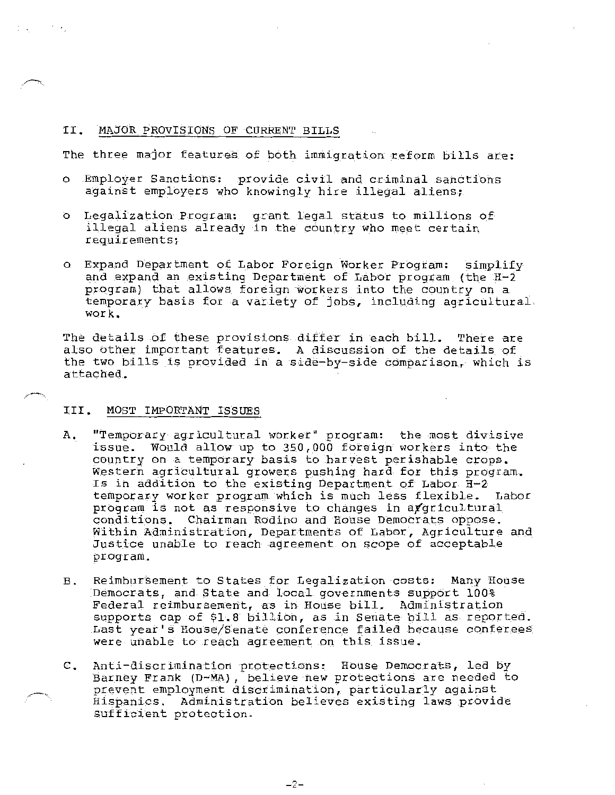## II. MAJOR PROVISIONS OF CURRENT BILLS

The three major features of both immigration reform bills are:

- o Employer Sanctions: provide civil and criminal sanctions against employers who knowingly hire illegal aliens;
- <sup>0</sup>Legalization Program: grant legal status to millions of illegal aliens already in the country who meet certain requirements;
- o Expand Department of Labor Foreign Worker Program: simplify and expand an existing Department of Labor program (the H-2 program) that allows foreign workers into the country on a temporary basis for a variety of jobs, including agricultural-. work.

The details of these provisions differ in each bill. There are also other important features. A discussion of the details of the two bills is provided in a side-by-side comparison, which is attached.

# III. MOST IMPORTANT ISSUES

- A. "Temporary agricultural worker" program: the most divisive issue. Would allow up to 350,000 foreign workers into the country on a temporary basis to harvest perishable crops. Western agricultural growers pushing hard for this program. Is in addition to the existing Department of Labor H-2 temporary worker program which is much less flexible. Labor program is not as responsive to changes in apgricultural conditions. Chairman Rodino and House Democrats oppose. Within Administration, Departments of Labor, Agriculture and Justice unable to reach agreement on scope of acceptable program.
- B. Reimbursement to States for Legalization costs: Many House Democrats, and State and local governments support 100% Federal reimbursement, as in House bill. Administration supports cap of \$1.8 billion, as in Senate bill as reported. Last year's House/Senate conference failed because conferees were unable to reach agreement on this issue.
- C. Anti-discrimination protections: House Democrats, led by Barney Frank (D-MA), believe new protections are needed to prevent employment discrimination, particularly against Hispanics. Administration believes existing laws provide sufficient protection.

-2-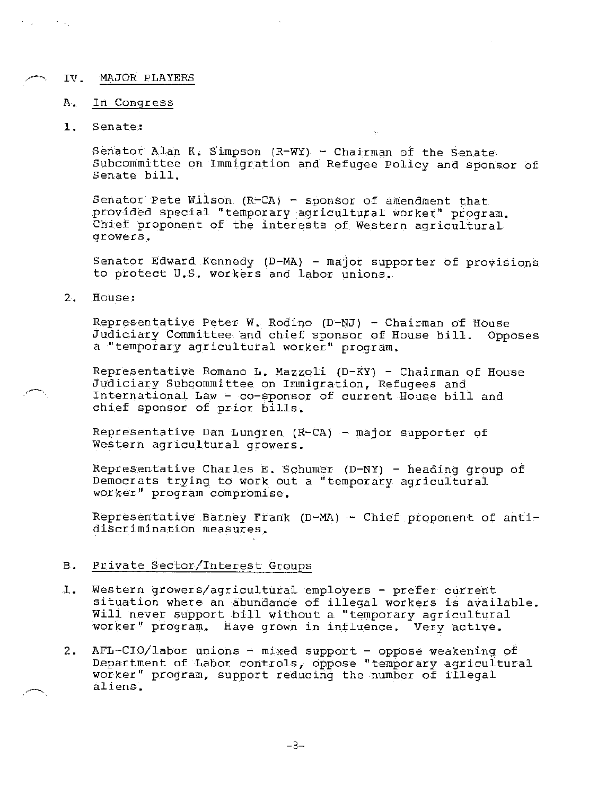#### */-·.* IV. MAJOR PLAYERS

#### A. In Congress

# 1. Senate:

 $\gamma_{\rm{max}}$ 

Senator Alan K. Simpson (R-WY) - Chairman of the Senate Subcommittee on Immigration and Refugee Policy and sponsor of Senate bill.

Senator Pete Wilson (R-CA) - sponsor of amendment that provided special "temporary agricultural worker" program. Chief proponent of the interests of Western agricultural growers.

Senator Edward Kennedy  $(D-MA)$  - major supporter of provisions to protect U.S. workers and labor unions.

# 2. House:

Representative Peter W. Rodino (D-NJ) - Chairman of House Judiciary Committee and chief sponsor of House bill. Opposes a "temporary agricultural worker" program.

Representative Romano L. Mazzoli (D-KY) - Chairman of House Judiciary Subcommittee on Immigration, Refugees and International Law - co-sponsor of current House bill and chief sponsor of prior bills.

Representative Dan Lungren (R-CA) - major supporter of Western agricultural growers.

Representative Charles E. Schumer (D-NY) - heading group of Democrats trying to work out a "temporary agricultural worker" program compromise.

Representative Barney Frank (D-MA) - Chief proponent of antidiscrimination measures.

## B. Private Sector/Interest Groups

- 1. Western growers/agricultural employers prefer current situation where an abundance of illegal workers is available. Will never support bill without a "temporary agricultural worker" program. Have grown in influence. Very active.
- 2. AFL-CIO/labor unions  $-$  mixed support oppose weakening of Department of Labor controls, oppose "temporary agricultural worker" program, support reducing the number of illegal aliens.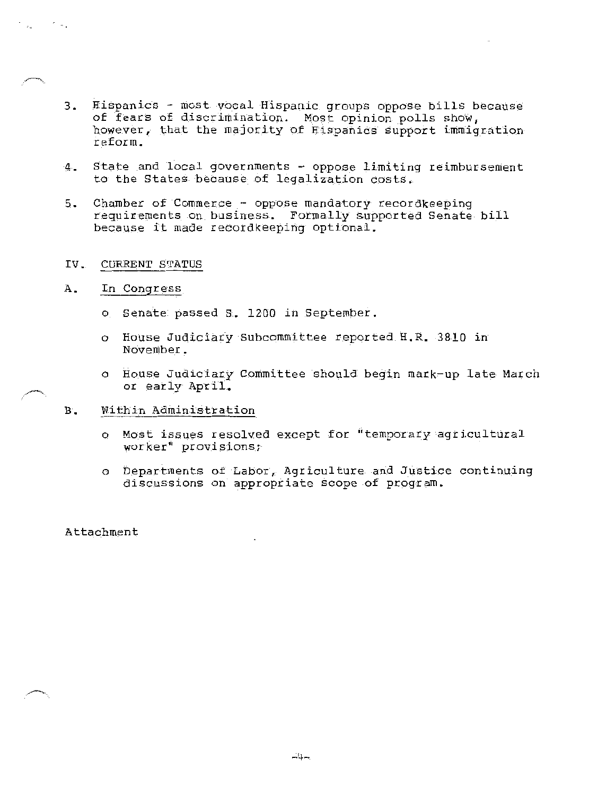- 3. Hispanics most vocal Hispanic groups oppose bills because of fears of discrimination. Most opinion polls show, however, that the majority of Hispanics support immigration reform.
- 4. State and local governments oppose limiting reimbursement to the States because of legalization costs.
- 5. Chamber of Commerce oppose mandatory recordkeeping requirements on business. Formally supported Senate bill because it made recordkeeping optional.

## IV. CURRENT STATUS

A. In Congress

t ingli

- o Senate passed s. 1200 in September.
- o House Judiciary Subcommittee reported H.R. 3810 in November.
- o House Judiciary Committee should begin mark-up late March or early April.
- B. Within Administration
	- o Most issues resolved except for "temporary agricultural worker" provisions;
	- o Departments of Labor, Agriculture and Justice continuing discussions on appropriate scope of program.

Attachment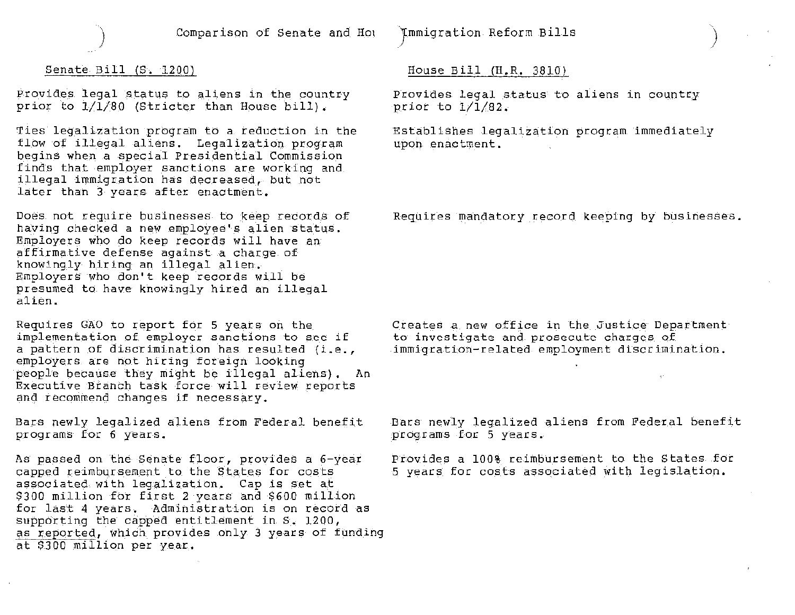

) Comparison of Senate and Ho1

Jmmigration Reform Bills

## Senate Bill (S. 1200)

Provides legal status to aliens in the country prior to 1/1/80 (Stricter than House bill).

Ties legalization program to a reduction in the flow of illegal aliens. Legalization program begins when a special Presidential Commission finds that employer sanctions are working and illegal immigration has decreased, but not later than 3 years after enactment.

Does not require businesses to keep records of having checked a new employee's alien status. Employers who do keep records will have an affirmative defense against a charge of knowingly hiring an illegal alien. Employers who don't keep records will be presumed to have knowingly hired an illegal alien.

Requires GAO to report for 5 years on the implementation of employer sanctions to see if a pattern of discrimination has resulted {i.e., employers are not hiring foreign looking people because they might be illegal aliens). An Executive Branch task force will review reports and recommend changes if necessary.

Bars newly legalized aliens from Federal benefit programs for 6 years.

As passed on the Senate floor, provides a 6-year capped reimbursement to the States for costs associated with legalization. Cap is set at \$300 million for first 2 years and \$600 million for last 4 years. Administration is on record as supporting the capped entitlement in S. 1200, as reported, which provides only 3 years of funding at \$300 million per year.

## House Bill (H.R. 3810)

Provides legal status to aliens in country prior to 1/1/82.

)

Establishes legalization program immediately upon enactment.

Requires mandatory record keeping by businesses.

Creates a new office in the Justice Department to investigate and prosecute charges of immigration-related employment discrimination.

Bars newly legalized aliens from Federal benefit programs for 5 years.

Provides a 100% reimbursement to the States for 5 years for costs associated with legislation.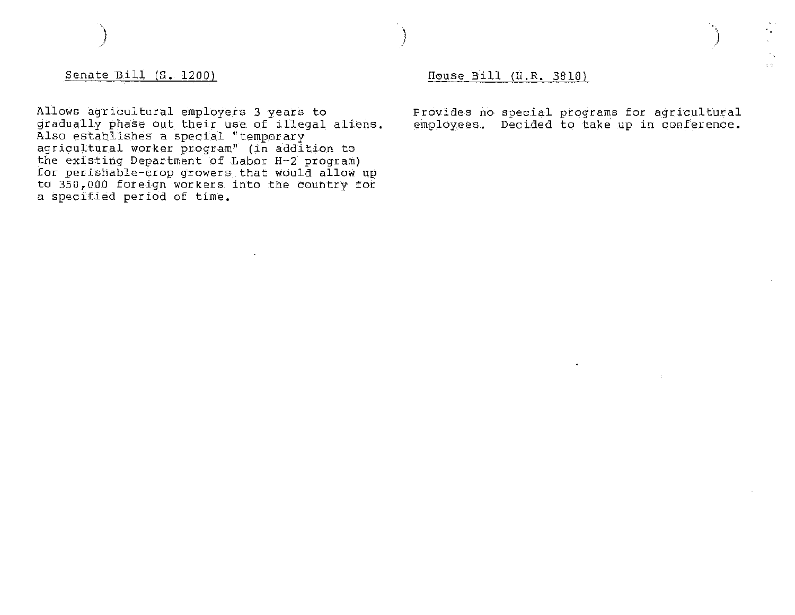Senate Bill (S. 1200)

)

Allows agricultural employers 3 years to gradually phase out their use of illegal aliens. Also establishes a special "temporary agricultural worker program" (in addition to the existing Department of Labor H-2 program) for perishable-crop growers that would allow up to 350,000 foreign workers into the country for a specified period of time.

# House Bill (H.R. 3810)

Provides no special programs for agricultural employees. Decided to take up in conference.

6N.

) and the contract of the contract of  $\mathcal{C}$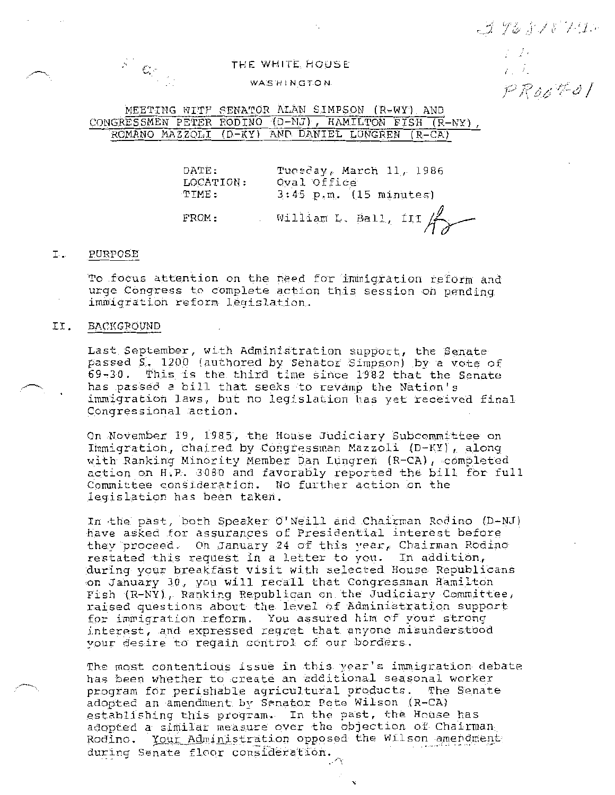396818792  $\frac{1}{2}\left(\frac{2\pi}{L}\right)^{2}$ 

PROOKOT

# THE WHITE HOUSE

## **WASHINGTON**

MEETING WITP SENATOR ALAN SIMPSON (R-WY) AND CONGRESSMEN PETER RODINO (D-NJ), HAMILTON FISH (R-NY), ROMANO MAZZOLI (D-KY) AND DANIEL LUNGREN (R-CA)

> DATE: LOCATION: TIME: FROM: Tuesday, March 11, 1986 Oval Office 3:45 p.m. (15 minutes) William L. Ball,  $III$

### I. PURPOSE

To focus attention on the need for immigration reform and urge Congress to complete action this session on pending immigration reform legislation.

## II. BACKGROUND

Last September, with Administration support, the Senate passed S. 1200 (authored by Senator Simpson) by a vote of 69-30. This is the third time since 1982 that the Senate has passed a bill that seeks to revamp the Nation's immigration laws, but no legislation has yet received final Congressional action.

On November 19, 1985, the House Judiciary Subcommittee on Immigration, chaired by Congressman Mazzoli (D-KY), along with Ranking Minority Member Dan Lungren (R-CA), completed action on H.P.. 3080 and favorably reported the bill for full Committee consideration. No further action on the legislation has been taken.

In the past, both Speaker O'Neill and Chairman Rodino (D-NJ) have asked for assurances of Presidential interest before they proceed. On January 24 of this year, Chairman Rodino restated this request in a letter to you. In addition, during your breakfast visit with selected House Republicans on January 30, you will recall that Congressman Hamilton Fish (R-NY), Ranking Republican on the Judiciary Committee, raised questions about the level 0f Administration support for immigration reform. You assured him of your strong interest, and expressed regret that anyone misunderstood your desire to regain control of our borders.

The most contentious issue in this year's immigration debate has been whether to create an additional seasonal worker program for perishable agricultural products. The Senate adopted an amendment by Senator Pete Wilson (R-CA) adopted an amendment of byname role hiron AR eny adopted a similar measure over the objection of Chairman Rodino. Your Administration opposed the Wilson amendment during Senate floor consideration. ,"\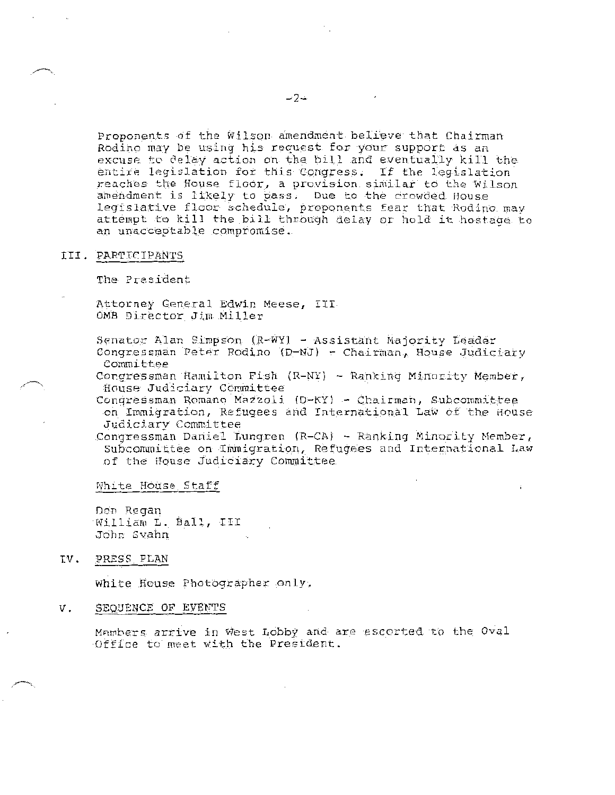Proponents of the Wilson amendment beli'eve that Chairman Rodino may be using his request for your support as an excuse to delay action on the bill and eventually kill the entire legislation for this Congress. If the legislation reaches the House floor, a provision similar to the Wilson amendment is likely to pass. Due to the crowded Bouse legislative floor schedule, proponents fear that Rodino may attempt to kill the bill through delay or hold it hostage to an unacceptable compromise.

## III. PARTTCIPANTS

The President

Attorney General Edwin Meese, III OMB Director Jim Miller

Senator Alan Simpson (R-WY) - Assistant Majority Leader Congressman Peter Rodino (D-NJ) - Chairman, House Judiciary Committee

Congressman Hamilton Fish (R-NY) - Ranking Minority Member, House Judiciary Committee

Conqressman Romano Mazzoli (D-KY) - Chairman, Subcommittee on Immigration, Refugees and International. Law of the House Judiciary Committee

Congressman Daniel Lungren (R-CA} - Ranking Minority Hember, Subcommittee on Immigration, Refugees and International Law of the House Judiciary Committee

White House Staff

DCD Regan William L. Ball, III Jobr: Svahn

IV, PRESS PLAN

White House Photographer only.

#### V. SEQUENCE OF EVENTS

Mambers arrive in West Lobby and are escorted to the Oval Office to meet with the President.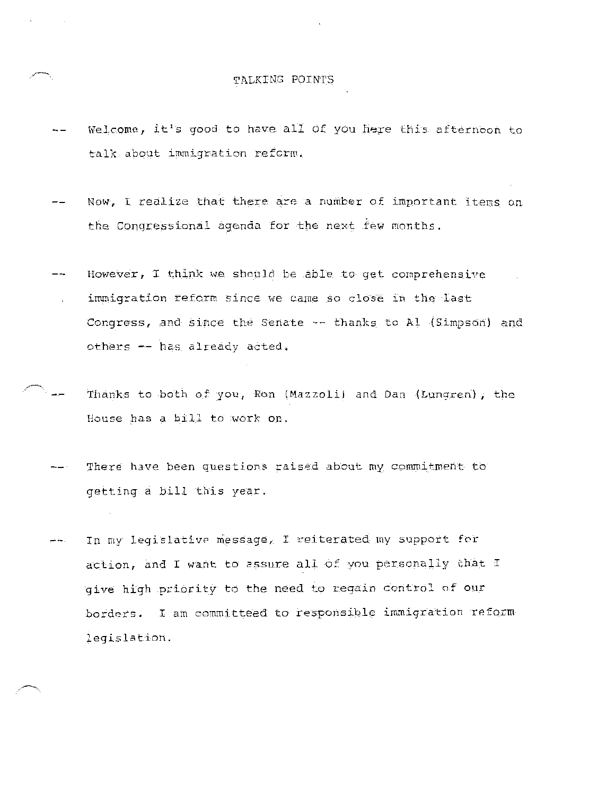# TALKING POINTS

- Welcome, it's good to have all of you here this afternoon to talk about immigration refcrw.
- Now, I realize that there are a number of important items on the Conqressional agenda for the next few months.
- However, I think we should be able to get comprehensive immigration reform since we came so close in the last Congress, and since the Senate -- thanks to Al (Simpson) and others -- has already acted.
- Thanks to both of you, Ron (Mazzoli) and Dan (Lungren), the House has a bill to work on.
	- There have been questions raised about my commitment to getting a bill this year.
	- In my legislative message, I reiterated my support for  $-$ action, and I want to assure all of you personally that I give high priority to the need to regain control of our borders. I am committeed to responsible immigration reform legislation.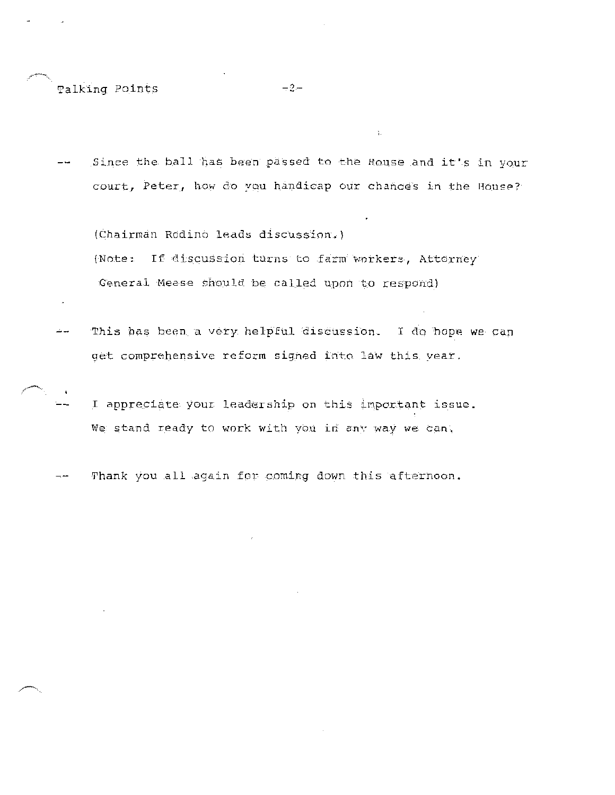Talking Points -2-

Since the ball has been passed to the House and it's in your  $$ court, Peter, how do you handicap our chances in the House?

(Chairman Rodino leads discussion.) (Note: If discussion turns to farm workers, Attorney) General Heese should be called upon to respond)

- This has been a very helpful discussion. I do hope we can ا عباك get comprehensive reform signed into law this year.
- I appreciate your leadership on this important issue. We stand ready to work with you in any way we can.

Thank you all again for coming down this afternoon. - --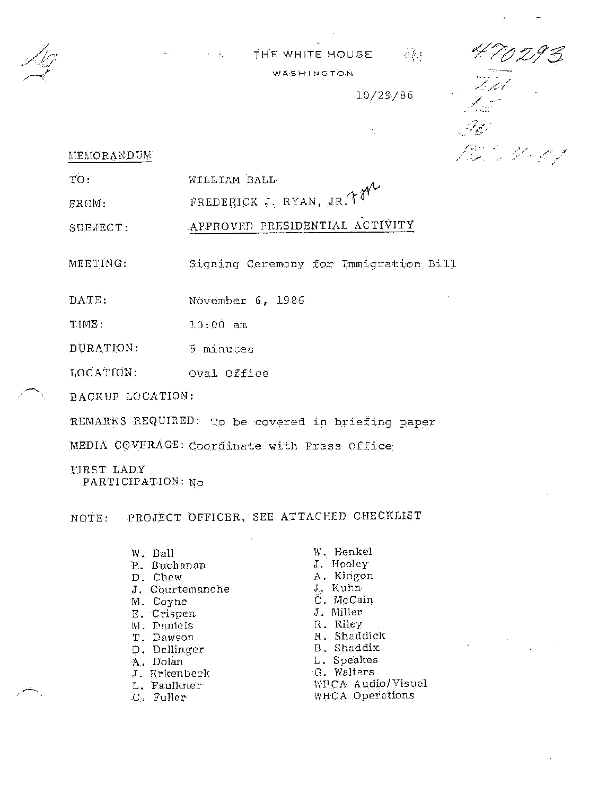

-~~

# THE WHITE HOUSE क है। WAS HI NG TON

10/29/86

.

Tot<br>1. s CON SARA

# $MENIORANDUM.$

TO, WILLIAM BALL

FROM,  $r$ rederick J. Ryan, Jr. $\mathcal{M}$ <sup>y</sup>

SUBJECT: APPROVED PRESIDENTIAL ACTIVITY

MEETING: Signing Ceremony for Immigration Bill

DATE, November 6, 19 86

TIME, 10:00 am

DURATION: S minutes

LOCATION, Oval Office

BACKUP LOCATION:

REMARKS REQUIRED: To be covered in briefing paper

MEDIA COVERAGE: Coordinate with Press Office

FIRST LADY PARTICIPATION: No

NOTE, PROJECT OFFICER, SEE ATTACHED CHECKLIST

- W. Ball W. Henkel<br>P. Buchanan M. Hooley P. Buchanan<br>D. Chew J. Courtemanche<br>M. Coyne E. Crispen .J. ~1iller M. Paniels T. Dawson R. Shaddick D. Dellinger B. Shaddix A. Dolan L. Speakes<br>
J. Erkenbeck G. Walters J. Erkenbeck L. Faulkner WFCA Audio/Visual C. Fuller WHCA Operations
- A. Kingon<br>J. Kuhn C. McCain<br>J. Miller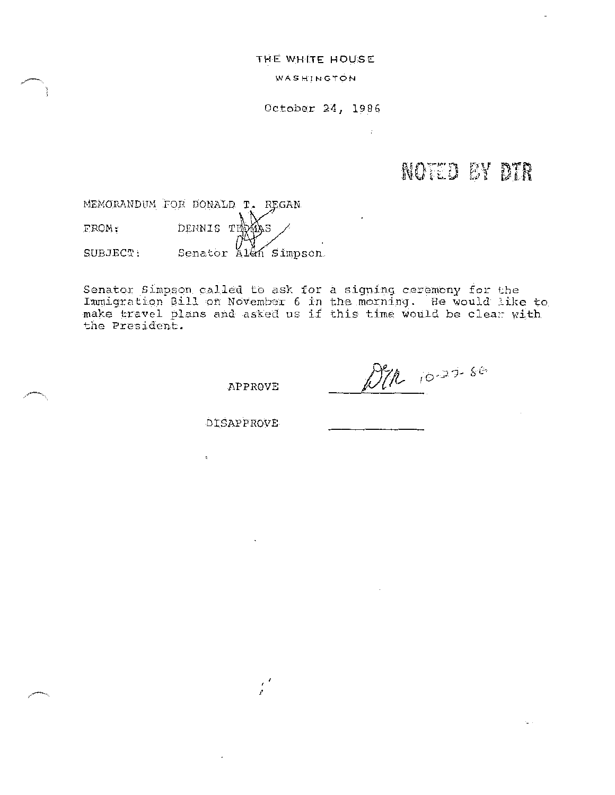**THE WHITE HOUSE** 

WASHINGTON

October 24, 1986

 $\mathbf{r}$ 

# **NOTED BY DTR**

MEMORANDUM FOR DONALD T. REGAN FROM: SUBJECT: DENNIS THOMAS Senator Alan Simpson

Senator Simpson called to ask for a signing ceremony for the Immigration Bill on November 6 in the morning. He would like to make travel plans and asked us if this time would be clear with the President.

APPROVE

,'

DIR 10-27-86

DISAPPROVE

 $\mathbf{r}$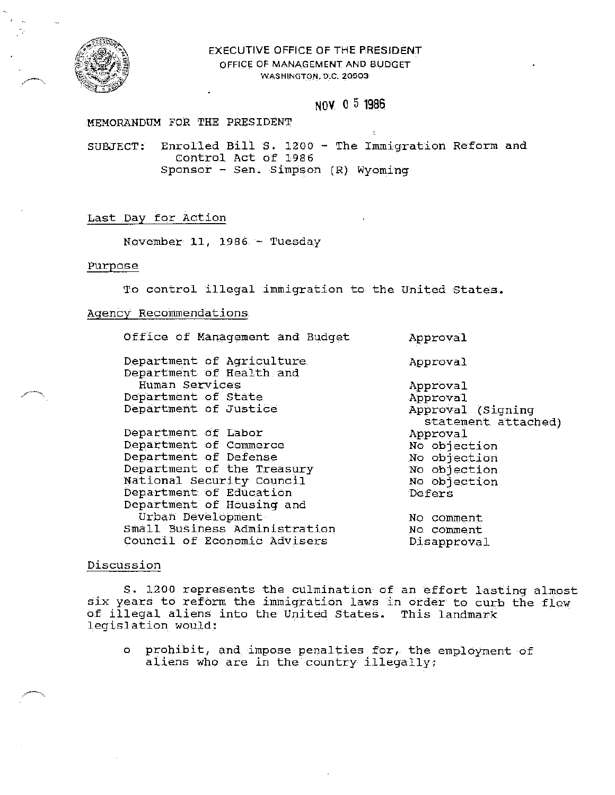

# EXECUTIVE OFFICE OF THE PRESIDENT OFFICE OF MANAGEMENT AND BUDGET WASHINGTON, D.C. 20503

# **NOV** O 5 **1986**

# MEMORANDUM FOR THE PRESIDENT

SUBJECT: Enrolled Bill S. 1200 - The Immigration Reform and Control Act of 1986 Sponsor - Sen. Simpson  $(R)$  Wyoming

## Last Day for Action

November 11, 1986 - Tuesday

## Purpose

To control illegal immigration to the United states.

## Agency Recommendations

Office of Management and Budget Department of Agriculture Department of Health and Human Services Department of State Department of Justice Department of Labor Department of Commerce Department of Defense Department of the Treasury National Security Council Department of Education Department of Housing and Urban Development Small Business Administration Council of Economic Advisers Approval Approval Approval Approval Approval (Signing statement attached) Approval No objection No objection No objection No objection Defers No comment No comment Disapproval

## Discussion

S. 1200 represents the culmination of an effort lasting almost six years to reform the immigration laws in order to curb the flow of illegal aliens into the United States. This landmark legislation would:

o prohibit, and impose penalties for, the employment of aliens who are in the country illegally;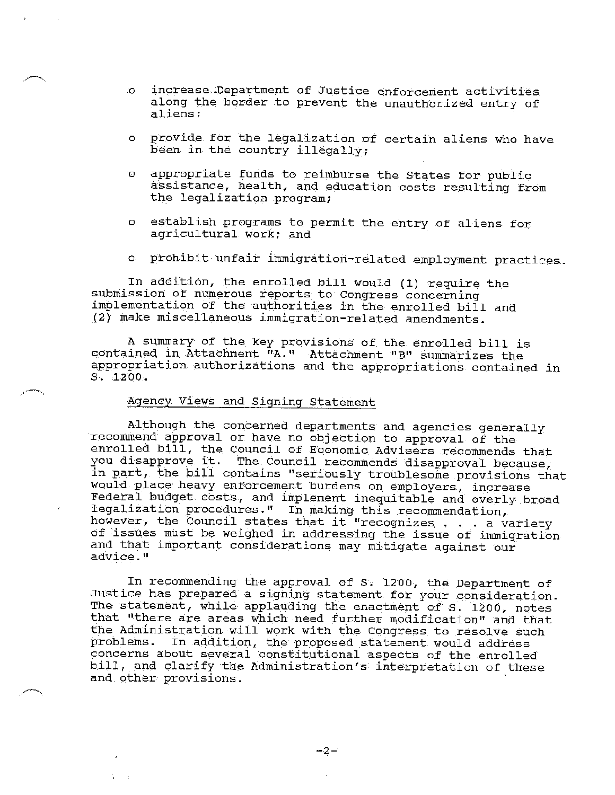- o increase,.Department of Justice enforcement activities along the border to prevent the unauthorized entry of aliens;
- o provide for the legalization of certain aliens who have been in the country illegally;
- o appropriate funds to reimburse the States for public assistance, health, and education costs resulting from the legalization program;
- o establish programs to permit the entry of aliens for agricultural work; and
- o prohibit unfair immigration-related employment practices.

In addition, the enrolled bill would (1) require the submission of numerous reports to Congress concerning implementation of the authorities in the enrolled bill and (2)' make miscellaneous immigration-related amendments.

A summary of the key provisions of the enrolled bill is contained in Attachment "A." Attachment "B" summarizes the appropriation authorizations and the appropriations contained in s. 1200.

# Agency Views and Signing Statement

Although the concerned departments and agencies generally recommend approval or have no objection to approval of the enrolled bill, the Council of Economic Advisers recommends that<br>you disapprove it. The Council recommends disapproval because. The Council recommends disapproval because, in part, the bill contains "seriously troublesome provisions that would place heavy enforcement burdens on employers, increase Federal budget costs, and implement inequitable and overly broad rederal budget costs, and implement inequitable and overly broad<br>legalization procedures." In making this recommendation,<br>however, the Council states that it "recognizes ... a variety<br>of issues must be voighed in addressin however, the Council states that it "recognizes . . . a variety of issues must be weighed in addressing the issue of immigration and that important considerations may mitigate against our advice."

In recommending the approval of S. 1200, the Department of Justice has prepared a signing statement for your consideration. The statement, while applauding the enactment of s. 1200, notes that "there are areas which need further modification" and that the Administration will work with the Congress to resolve such problems. In addition, the proposed statement would address concerns about several constitutional aspects of the enrolled concerns about severar conservational aspects of the enrolled<br>bill, and clarify the Administration's interpretation of these and other provisions.

 $-2-$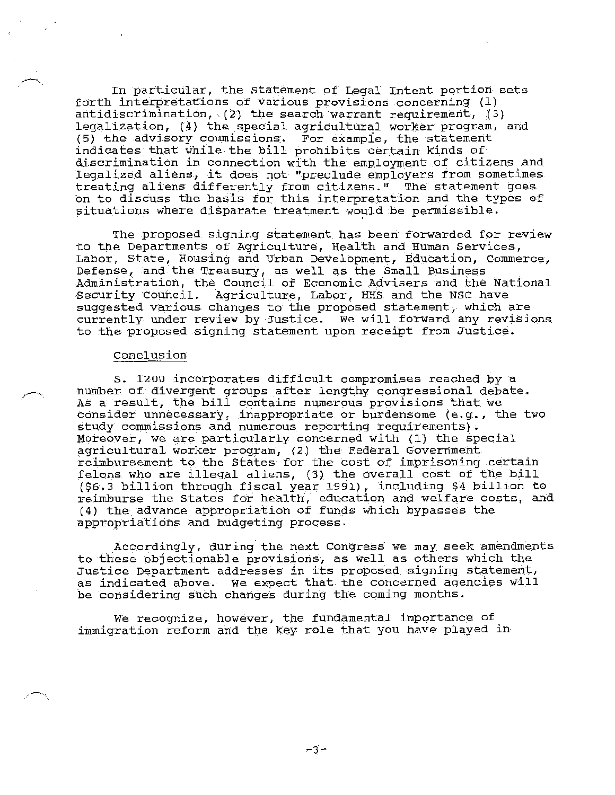In particular, the statement of Legal Intent portion sets forth interpretations of various provisions concerning (l) antidiscrimination, (2) the search warrant requirement, (3) legalization, (4) the special agricultural worker program, and (5) the advisory commissions. For example, the statement indicates that while the bill prohibits certain kinds of discrimination in connection with the employment of citizens and legalized aliens, it does not "preclude employers from sometimes treating aliens differently from citizens." The statement goes on to discuss the basis for this interpretation and the types of situations where disparate treatment would be permissible.

The proposed signing statement has been forwarded for review to the Departments of Agriculture, Health and Human Services, Labor, State, Housing and Urban Development, Education, Commerce, Defense, and the Treasury, as well as the Small Business Administration, the Council of Economic Advisers and the National Security Council. Agriculture, Labor, HHS and the NSC have suggested various changes to the proposed statement, which are currently under review by Justice. We will forward any revisions to the proposed signing statement upon receipt from Justice.

## Conclusion

S. 1200 incorporates difficult compromises reached by a number of divergent groups after lengthy congressional debate. AS a result, the bill contains numerous provisions that we consider unnecessary, inappropriate or burdensome (e.g., the two study commissions and numerous reporting requirements). Moreover, we are particularly concerned with (1) the special agricultural worker program, (2) the Federal Government reimbursement to the States for the cost of imprisoning certain felons who are illegal aliens, (3) the overall cost of the bill (\$6.3 billion through fiscal year 1991), including \$4 billion to reimburse the States for health, education and welfare costs, and (4) the\_advance appropriation of funds which bypasses the appropriations and budgeting process.

Accordingly, during. the next Congress we may seek amendments to these objectionable provisions, as well as others which the Justice Department addresses in its proposed signing statement, as indicated above. We expect that the concerned agencies will be considering such changes during the coming months.

We recognize, however, the fundamental importance of immigration reform and the key role that you have played in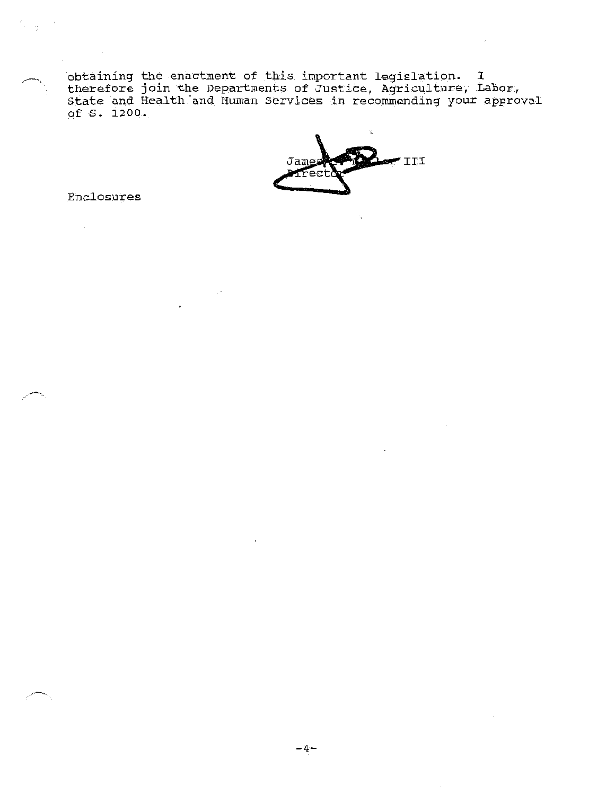obtaining the enactment of this important legislation. I therefore join the Departments of Justice, Agriculture, Labor, state and Health-and Human services in recommending your approval

of S. 1200.

Enclosures

 $\bar{\zeta}$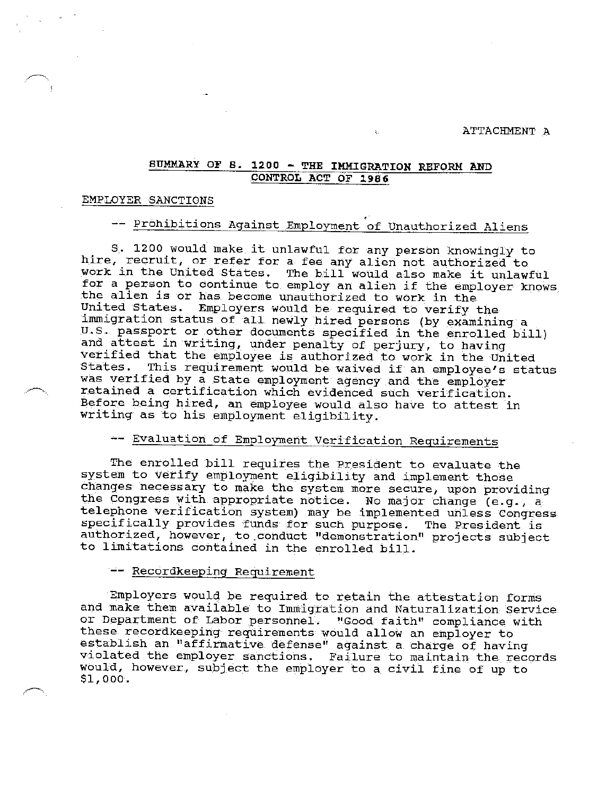ATTACHMENT A

# SUMMARY OF S. 1200 - THE IMMIGRATION REFORM AND CONTROL ACT OF 1986

# EMPLOYER SANCTIONS

# -- Prohibitions Against Employment of Unauthorized Aliens

S. 1200 would make it unlawful for any person knowingly to hire, recruit, or refer for a fee any alien not authorized to work in the United States. The bill would also make it unlawful for a person to continue to employ an alien if the employer knows the alien is or has become unauthorized to work in the United States. Employers would be required to verify the immigration status of all newly hired persons (by examining a U.S. passport or other documents specified in the enrolled bill) and attest in writing, under penalty of perjury, to having verified that the employee is authorized to work in the United This requirement would be waived if an employee's status was verified by a State employment agency and the employer retained a certification which evidenced such verification. Before being hired, an employee would also have to attest in writing as to his employment eligibility.

# -- Evaluation of Employment Verification Requirements

The enrolled bill requires the President to evaluate the system to verify employment eligibility and implement those changes necessary to make the system more secure, upon providing the Congress with appropriate notice. No major change (e.g., a telephone verification system) may be implemented unless Congress specifically provides funds for such purpose. The President is authorized, however, to conduct "demonstration" projects subject to limitations contained in the enrolled bill.

## -- Recordkeeping Requirement

Employers would be required to retain the attestation forms and make them available to Immigration and Naturalization Service or Department of Labor personnel. "Good faith" compliance with these recordkeeping requirements would allow an employer to establish an "affirmative defense" against a charge of having violated the employer sanctions. Failure to maintain the records would, however, subject the employer to a civil fine of up to \$1,000.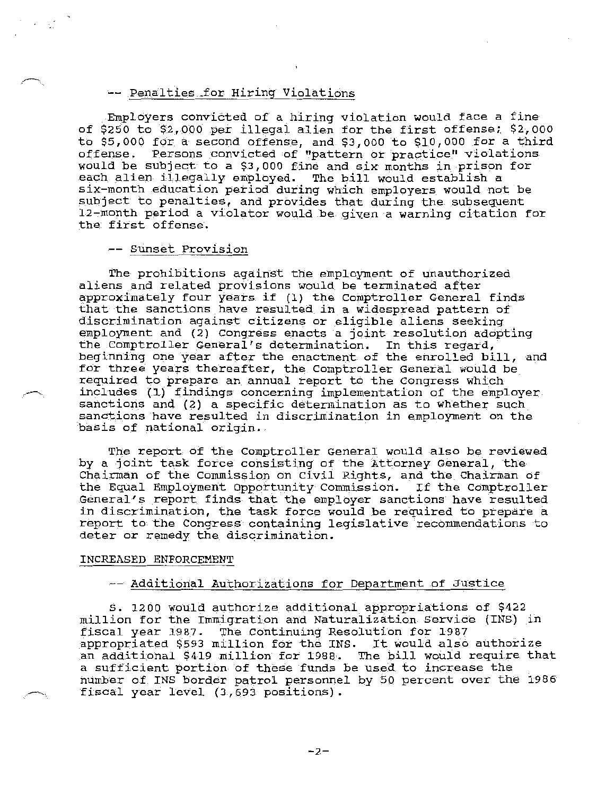# -- Penalties for Hiring Violations

Employers convicted of a hiring violation would face a fine of \$250 to \$2,000 per illegal alien for the first offense; \$2,000 to \$5,000 for a second offense, and \$3,000 to \$10,000 for a third offense. Persons convicted of "pattern or practice" violations would be subject to a \$3,000 fine and six months in prison for each alien illegally employed. The bill would establish a six-month education period during which employers would not be subject to penalties, and provides that during the subsequent 12-month period a violator would be given a warning citation for the first offense.

# -- sunset Provision

The prohibitions against the employment of unauthorized aliens and related provisions would be terminated after approximately four years if (1) the Comptroller General finds that the sanctions have resulted in a widespread pattern of discrimination against citizens or eligible aliens seeking employment and (2) Congress enacts a joint resolution adopting the Comptroller General's determination. In this regard, beginning one year after the enactment of the enrolled bill, and for three years thereafter, the Comptroller General would be required to prepare an annual report to the Congress which includes (1) findings concerning implementation of the employer sanctions and (2) a specific determination as to whether such sanctions have resulted in discrimination *in* employment on the basis of national origin.

The report of the Comptroller General would also be reviewed by a joint task force consisting of the Attorney General, the Chairman of the Commission on Civil Rights, and the Chairman of the Equal Employment Opportunity Commission. If the Comptroller General's report finds that the employer sanctions have resulted in discrimination, the task force would be required to prepare a report to the Congress containing legislative recommendations to deter or remedy the discrimination.

## INCREASED ENFORCEMENT

# -- Additional Authorizations for Department of Justice

S. 1200 would authorize additional appropriations of \$422 million for the Immigration and Naturalization Service (INS) in fiscal year 1987. The Continuing Resolution for 1987 appropriated \$593 million for the INS. It would also authorize an additional \$419 million for 1988. The bill would require that a sufficient portion of these funds be used to increase the number of INS border patrol personnel by 50 percent over the 1986 fiscal year level (3,693 positions).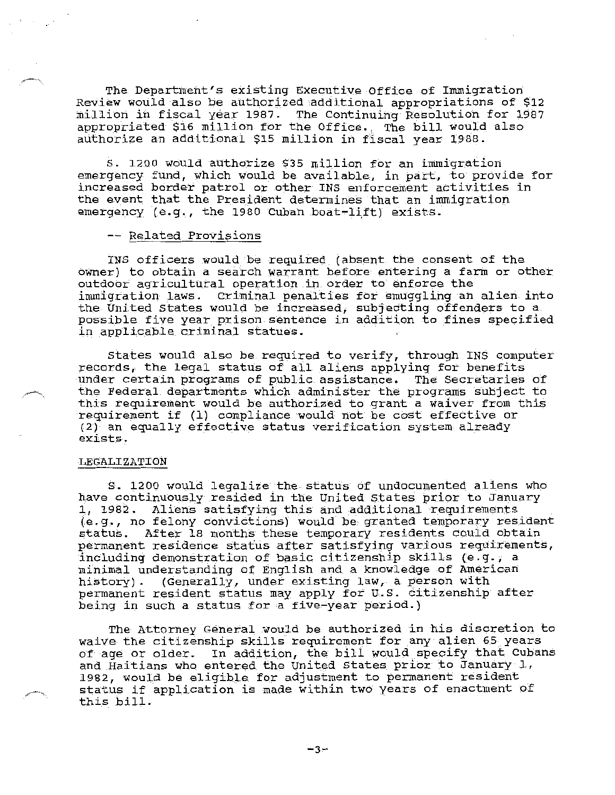The Department's existing Executive Office of Immigration Review would also be authorized additional appropriations of \$12 million in fiscal year 1987. The Continuing Resolution for 1987 appropriated \$16 million for the Office. The bill would also authorize an additional \$15 million in fiscal year 1988.

S. 1200 would authorize \$35 million for an immigration emergency fund, which would be available, in part, to provide for increased border patrol or other INS enforcement activities in the event that the President determines that an immigration emergency (e.g., the 1980 Cuban boat-lift) exists.

## -- Related Provisions

INS officers would be required (absent the consent of the owner) to obtain a search warrant before entering a farm or other outdoor agricultural operation in order to enforce the immigration laws. Criminal penalties for smuggling an alien into the United States would be increased, subjecting offenders to a possible five year prison sentence in addition to fines specified in applicable criminal statues.

States would also be required to verify, through INS computer records, the legal status of all aliens applying for benefits under certain programs of public assistance. The secretaries of the Federal departments which administer the programs subject to this requirement would be authorized to grant a waiver from this requirement if (1) compliance would not be cost effective or (2) an equally effective status verification system already exists.

## LEGALIZATION

S. 1200 would legalize the status of undocumented aliens who have continuously resided in the United states prior to January 1, 1982. Aliens satisfying this and additional requirements (e.g., no felony convictions) would be granted temporary resident status. After 18 months these temporary residents could obtain permanent residence status after satisfying various requirements, including demonstration of basic citizenship skills (e.g., a minimal understanding of English and a knowledge of American history). (Generally, under existing law, a person with permanent resident status may apply for U.S. citizenship after being in such a status for a five-year period.)

The Attorney General would be authorized in his discretion to waive the citizenship skills requirement for any alien 65 years of age or older. In addition, the bill would specify that Cubans and Haitians who entered the United States prior to January 1, 1982, would be eligible for adjustment to permanent resident status if application is made within two years of enactment of this bill.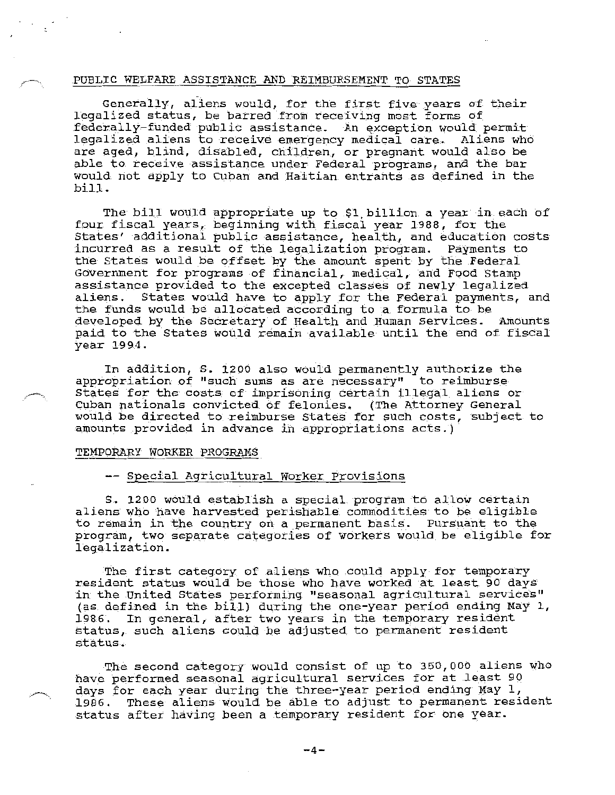## PUBLIC WELFARE ASSISTANCE AND REIMBURSEMENT TO STATES

Generally, aliens would, for the first five years of their legalized status, be barred from receiving most forms of federally-funded public assistance. An exception would permit legalized aliens to receive emergency medical care. Aliens who are aged, blind, disabled, children, or pregnant would also be able to receive assistance under Federal programs, and the bar would not apply to Cuban and Haitian entrants as defined in the bill.

The bill would appropriate up to \$1,billion a year in each of four fiscal years, beginning with fiscal year 1988, for the States' additional public assistance, health, and education costs incurred as a result of the legalization program. Payments to the States would be offset by the amount spent by the Federal Government for programs of financial, medical, and Food Stamp assistance provided to the excepted classes of newly legalized aliens. States would have to apply for the Federal payments, and the funds would be allocated according to a formula to be developed by the Secretary of Health and Human Services. Amounts paid to the States would remain available until the end of fiscal year 1994.

In addition, s. 1200 also would permanently authorize the appropriation of "such sums as are necessary" to reimburse States for the costs of imprisoning certain illegal aliens or Cuban nationals convicted of felonies. (The Attorney General would be directed to reimburse states for such costs, subject to amounts provided in advance in appropriations acts.)

## TEMPORARY WORKER PROGRAMS

## -- Special Agricultural Worker Provisions

S. 1200 would establish a special program to allow certain aliens who have harvested perishable commodities to be eligible to remain in the country on a permanent basis. Pursuant to the program, two separate categories of workers would be eligible for legalization.

The first category of aliens who could apply for temporary resident status would be those who have worked at least 90 days in the United States performing "seasonal agricultural services" (as defined in the bill) during the one-year period ending May 1, 1986. In general, after two years in the temporary resident status, such aliens could be adjusted to permanent resident status.

The second category would consist of up to 350,000 aliens who have performed seasonal agricultural services for at least 90 days for each year during the three-year period ending May 1, 1986. These aliens would be able to adjust to permanent resident status after having been a temporary resident for one year.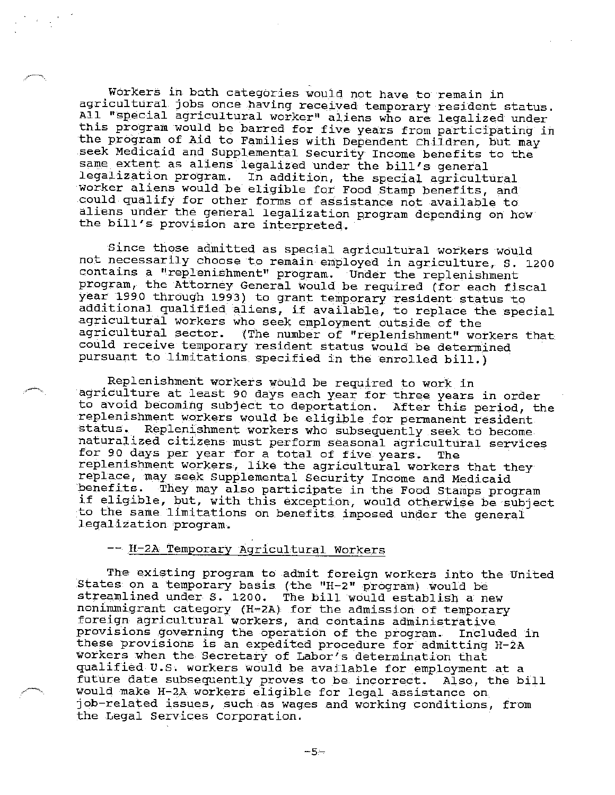Workers in bath categories would not have to remain in agricultural jobs once having received temporary resident status. All "special agricultural worker" aliens who are legalized under this program would be barred for five years from participating in the program of Aid to Families with Dependent Children, but may seek Medicaid and Supplemental Security Income benefits to the same extent as aliens legalized under the bill's general<br>legalization program. In addition, the special agricult In addition, the special agricultural worker aliens would be eligible for Food Stamp benefits, and could qualify for other forms of assistance not available to aliens under the general legalization program depending on how the bill's provision are interpreted.

Since those admitted as special agricultural workers would not necessarily choose to remain employed in agriculture, S. l200 contains a "replenishment" program. Under the replenishment program, the Attorney General would be required (for each fiscal year 1990 through 1993) to grant temporary resident status to additional qualified aliens, if available, to replace the special agricultural workers who seek employment outside of the<br>agricultural sector. (The number of "replenishment" wo (The number of "replenishment" workers that could receive temporary resident status would be determined pursuant to limitations specified in the enrolled bill.)

Replenishment workers would be required to work in agriculture at least 90 days each year for three years *in* order to avoid becoming subject to deportation. After this period, the replenishment workers would be eligible for permanent resident status. Replenishment workers who subsequently seek to become Replenishment workers who subsequently seek to become naturalized citizens must perform seasonal agricultural services for 90 days per year for a total of five years. The replenishment workers, like the agricultural workers that they replace, may seek Supplemental Security Income and Medicaid benefits. They may also participate in the Food Stamps program if eligible, but, with this exception, would otherwise be subject to the same limitations on benefits imposed under the general legalization program.

## -- H-2A Temporary Agricultural Workers

The existing program to admit foreign workers into the United States on a temporary basis (the "H-2" program) would be streamlined under S. 1200. The bill would establish a new nonimmigrant category (H-2A) for the admission of temporary foreign agricultural workers, and contains administrative provisions governing the operation of the program. Included in these provisions is an expedited procedure for admitting H-2A workers when the Secretary of Labor's determination that qualified U.S. workers would be available for employment at a future date subsequently proves to be incorrect. Also, the bill would make H-2A workers eligible for legal assistance on job-related issues, such as wages and working conditions, from the Legal Services Corporation.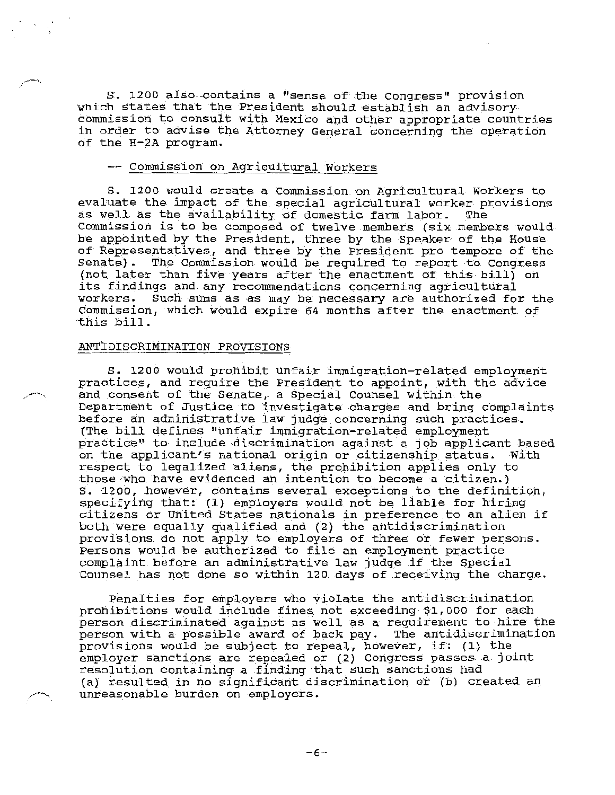S. 1200 also contains a "sense of the Congress" provision which states that the President should establish an advisory commission to consuit with Mexico and other appropriate countries in order to advise the Attorney General concerning the operation of the H-2A program.

# commission on Agricultural Workers

S. 1200 would create a Commission on Agricultural Workers to evaluate the impact of the special agricultural worker provisions<br>as well as the availability of domestic farm labor. The as well as the availability of domestic farm labor. Commission is to be composed of twelve members (six members would be appointed by the President, three by the Speaker of the House of Representatives, and three by the President pro tempore of the Senate). The Commission would be required to report to Congress (not later than five years after the enactment of this bill) on its findings and any recommendations concerning agricultural workers. Such sums as as may be necessary are authorized for the Commission, which would expire 64 months after the enactment of this bill.

## ANTIDISCRIMINATION PROVISIONS

S. 1200 would prohibit unfair immigration-related employment practices, and require the President to appoint, with the advice and consent of the Senate, a Special Counsel within the Department of Justice to investigate charges and bring complaints before an administrative law judge concerning such practices. (The bill defines "unfair immigration-related employment practice" to include discrimination against a job applicant based on the applicant's national origin or citizenship status. With respect to legalized aliens, the prohibition applies only to those who have evidenced an intention to become a citizen.) S. 1200, however, contains several exceptions to the definition, specifying that: (1) employers would not be liable for hiring citizens or United States nationals in preference to an alien if both were equally qualified and (2) the antidiscrimination provisions do not apply to employers of three or fewer persons. Persons would be authorized to file an employment practice complaint before an administrative law judge if the Special Counsel has not done so within 120 days of receiving the charge.

Penalties for employers who violate the antidiscrimination prohibitions would include fines not exceeding \$1,000 for each person discriminated against as well as a requirement to hire the person with a possible award of back pay. The antidiscrimination provisions would be subject to repeal, however, if: (1) the employer sanctions are repealed or (2) Congress passes a joint resolution containing a finding that such sanctions had (a) resulted in no significant discrimination or (b) created an unreasonable burden on employers.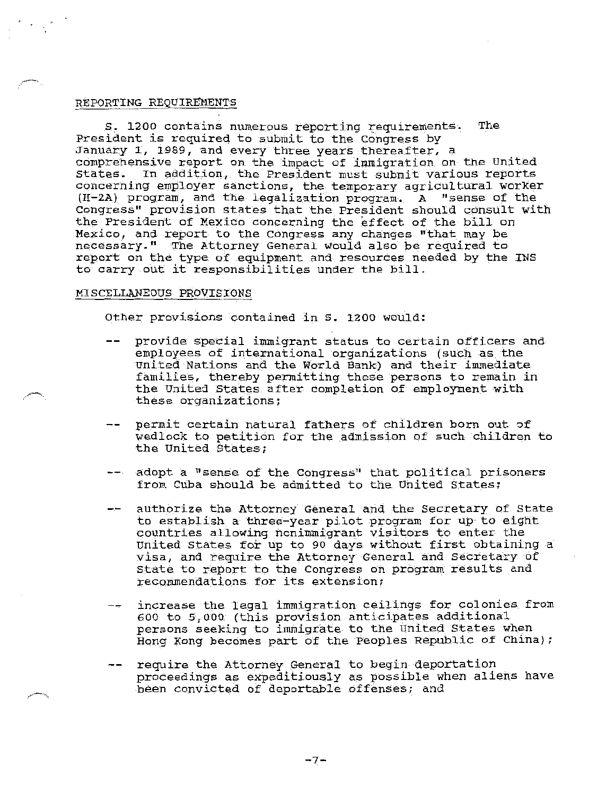## REPORTING REQUIREMENTS

s. 1200 contains numerous reporting requirements. The President is required to submit to the Congress by January 1, 1989, and every three years thereafter, a comprehensive report on the impact of immigration on the United States. In addition, the President must submit various reports concerning employer sanctions, the temporary agricultural worker  $(H-2A)$  program, and the legalization program. A "sense of the Congress" provision states that the President should consult with the President of Mexico concerning the effect of the bill on Mexico, and report to the Congress any changes "that may be necessary." The Attorney General would also be required to report on the type of equipment and resources needed by the INS to carry out it responsibilities under the bill.

## MISCELLANEOUS PROVISIONS

Other provisions contained in *S.* 1200 would:

- provide special immigrant status to certain officers and  $-$ employees of international organizations (such as the United Nations and the World Bank) and their immediate families, thereby pennitting these persons to remain in the United States after completion of employment with these organizations;
- permit certain natural fathers of children born out of wedlock to petition for the admission of such children to the United States;
- -- adopt a "sense of the Congress" that political prisoners from Cuba should be admitted to the United States;
- authorize the Attorney General and the Secretary of State to establish a three-year pilot program for up to eight countries allowing nonimmigrant visitors to enter the United states for up to 90 days without first obtaining a visa, and require the Attorney General and Secretary of State to report to the Congress on program results and recommendations for its extension;
- increase the legal immigration ceilings for colonies from 600 to 5',000 (this provision anticipates additional persons seeking to immigrate to the United States when Hong Kong becomes part of the Peoples Republic of China);
- require the Attorney General to begin deportation proceedings as expeditiously as possible when aliens have been convicted of deportable offenses; and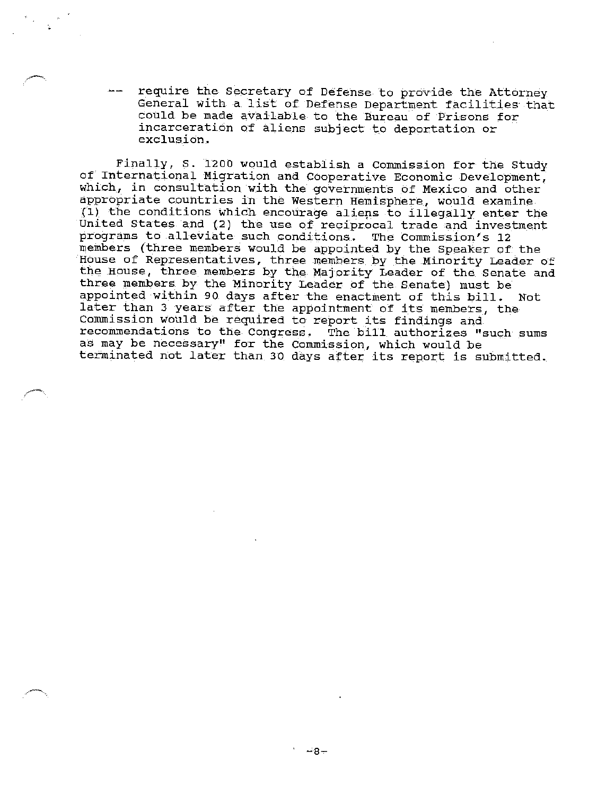require the Secretary of Defense to provide the Attorney General with a list of Defense Department facilities· that could be made available to the Bureau of Prisons for incarceration of aliens subject to deportation or exclusion.

Finally, S. 1200 would establish a Commission for the Study of International Migration and Cooperative Economic Development, which, in consultation with the governments of Mexico and other appropriate countries in the Western Hemisphere, would examine {l) the conditions which encourage alieps to illegally enter the United States and (2) the use of reciprocal trade and investment programs to alleviate such conditions. The Commission's 12 members (three members would be appointed by the Speaker of the House of Representatives, three members by the Minority Leader of the House, three members by the Majority Leader of the Senate and three members by the Minority Leader of the Senate) must be appointed within 90 days after the enactment of this bill. Not later than 3 years after the appointment of its members, the Commission would be required to report its findings and recommendations to the Congress. The bill authorizes "such sums as may be necessary" for the Commission, which would be terminated not later than 30 days after its report is submitted.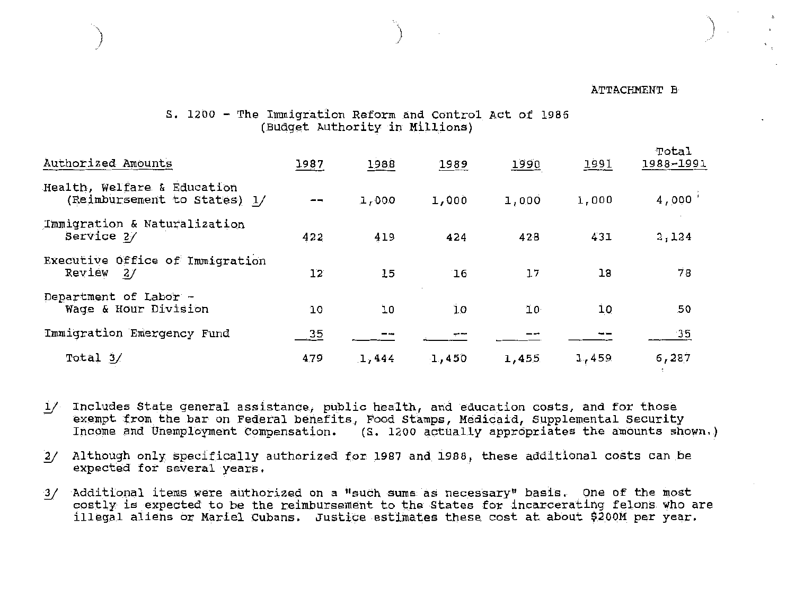## ATTACHMENT B

)<br>|-<br>|-

# s. 1200 - The Immigration Reform and Control Act of 1986 (Budget Authority in Millions)

) and the contract of  $\{1, 2, \ldots, n\}$ 

| Authorized Amounts                                          | 1987 | 1988  | 1989  | 1990  | 1991  | Total<br>1988-1991 |
|-------------------------------------------------------------|------|-------|-------|-------|-------|--------------------|
| Health, Welfare & Education<br>(Reimbursement to States) 1/ |      | 1,000 | 1,000 | 1,000 | 1,000 | 4,000'             |
| Immigration & Naturalization<br>Service 2/                  | 422  | 419   | 424   | 428   | 431   | 2,124              |
| Executive Office of Immigration<br>Review<br>2/             | 12   | 15    | 16    | 17    | 18    | 78                 |
| Department of Labor -<br>Wage & Hour Division               | 10   | 10    | 10    | ΊO·   | 10    | .50                |
| Immigration Emergency Fund                                  | 35   |       |       |       |       | 35                 |
| Total 3/                                                    | 4.79 | 1,444 | 1,450 | 1,455 | 1,459 | 6,287              |

- 1/ Includes State general assistance, public health, and education costs, and for those exempt from the bar on Federal benefits, Food Stamps, Medicaid, Supplemental Security Income and Unemployment compensation. (S. 1200 actually apprdpriates the amounts shown.)
- *y* Although only specifically authorized for 1987 and 1988, these additional costs can be expected for several years.
- \_1/ Additional items were authorized on a "such sums as necessary" basis. One of the most costly is expected to be the reimbursement to the States for incarcerating felons who are illegal aliens or Mariel Cubans, Justice estimates these cost at about \$200M per year.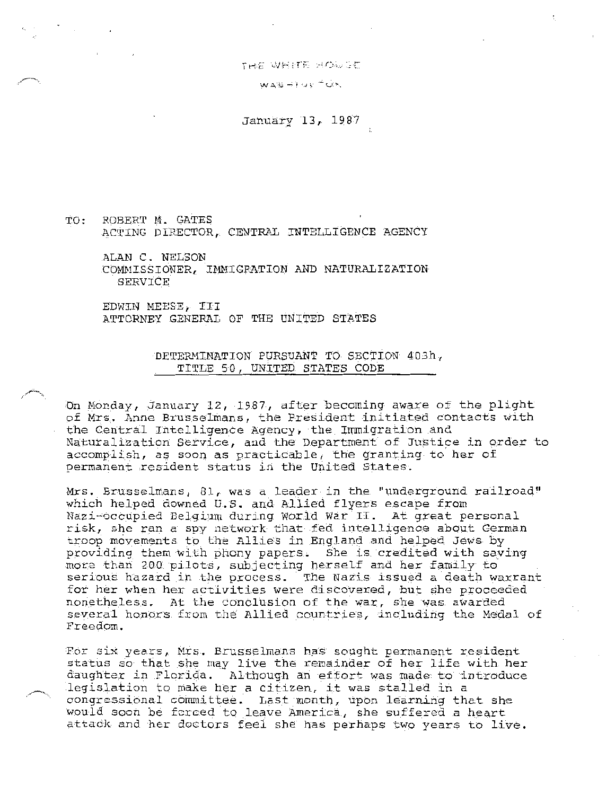THE WHITE HOWGE

WAS HIME TUR

January 13, 1987

TO, ROBERT M. GATES ACTING DIRECTOR, CENTRAL INTELLIGENCE AGENCY

ALAN C. NELSON COMMISSIONER, IMMIGRATION AND NATURALIZATION SERVICE

EDWIN MEESE, III ATTORNEY GENERAL OF THE UNITED STATES

> DETERMINATION PURSUANT TO SECTION 403h, TITLE 50, UNITED STATES CODE

On Monday, January 12, 1987, after becoming aware of the plight of Mrs. Anne Brusselmans, the President initiated contacts with the Central Intelligence Agency, the Immigration and Naturalization Service, and the Department of Justice in order to accomplish, as soon as practicable, the granting to her of permanent resident status in the United States.

Mrs. Brusselmans, 81, was a leader in the "underground railroad" which helped downed U.S. and Allied flyers escape from Nazi-occupied Belgium during World War II. At great personal risk, she ran a spy network that fed intelligence about German troop movements to the Allies in England and helped Jews by providing them with phony papers. She is credited with sa\_ving more than 200 pilots, subjecting herself and her family to serious hazard in the process. The Nazis issued a death warrant for her when her activities were discovered, but she proceeded nonetheless. At the conclusion of the war, she was awarded several honors from the Allied countries, including the Medal of Freedom.

For six years, Mrs. Brusselmans has sought permanent resident status so that she may live the remainder of her life with her daughter in Florida. Although an effort was made to introduce legislation to make her a citizen, it was stalled in a congressional committee. Last month, upon learning that she would soon be forced to leave America, she suffered a heart attack and her doctors feel she has perhaps two years to live.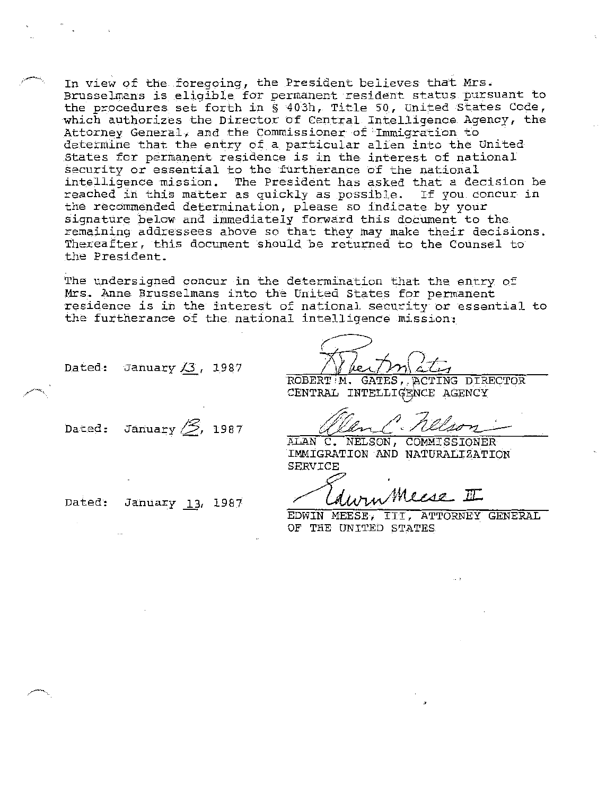In view of the foregoing, the President believes that Mrs. Brusselmans is eligible for permanent resident status pursuant to the procedures set forth in§ 403h, Title 50, United States Code, which authorizes the Director of Central Intelligence Agency, the Attorney General, and the Commissioner of'.Immigration to determine that the entry of a particular alien into the United States for permanent residence is in the interest of national security or essential to the furtherance of the national intelligence mission. The President has asked that a decision be reached in this matter as quickly as possible. If you concur in the recommended determination, please so indicate by your signature below and immediately forward this document to the remaining addressees above so that they may make their decisions. Thereafter, this document should be returned to the Counsel to the President.

The undersigned concur *in* the determination that the entry of Mrs. Anne Brusselmans into the United States for permanent residence is *in* the interest of national security or essential to the furtherance of the national intelligence mission:

ROBERT M. GATES, ACTING DIRECTOR CENTRAL INTELLIGENCE AGENCY

CENTRAL INTELLIGENCE AGENCY<br>CENTRAL INTELLIGENCE AGENCY<br>ALAN C. NELSON, COMMISSIONER

IMMIGRATION AND NATURALIZATION SERVICE

Ldwin Meese II

EDWIN MEESE, III, ATTORNEY GENERAL OF THE UNITED STATES

Dated: January **3**, 1987

Dated: January  $\mathscr{B}$ , 1987

Dated: January 13, 1987